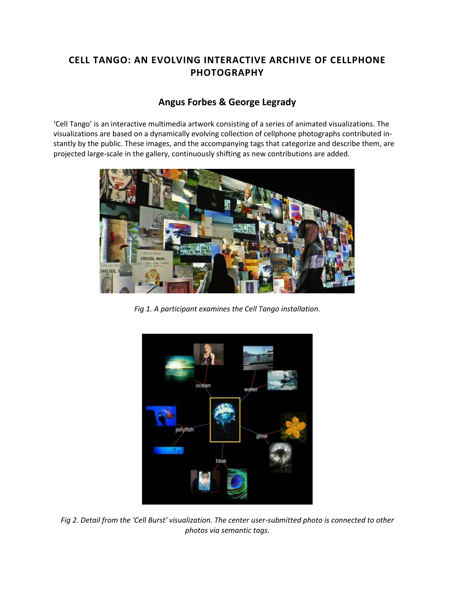## **CELL TANGO: AN EVOLVING INTERACTIVE ARCHIVE OF CELLPHONE PHOTOGRAPHY**

## **[Angus Forbes](http://isea2011.sabanciuniv.edu/-329.html) & George Legrady**

'Cell Tango' is an interactive multimedia artwork consisting of a series of animated visualizations. The visualizations are based on a dynamically evolving collection of cellphone photographs contributed instantly by the public. These images, and the accompanying tags that categorize and describe them, are projected large-scale in the gallery, continuously shifting as new contributions are added.



*Fig 1. A participant examines the Cell Tango installation.*



*Fig 2. Detail from the 'Cell Burst' visualization. The center user-submitted photo is connected to other photos via semantic tags.*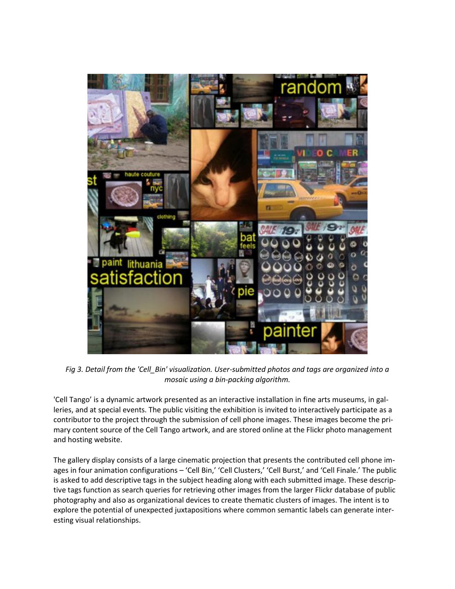

*Fig 3. Detail from the 'Cell\_Bin' visualization. User-submitted photos and tags are organized into a mosaic using a bin-packing algorithm.*

'Cell Tango' is a dynamic artwork presented as an interactive installation in fine arts museums, in galleries, and at special events. The public visiting the exhibition is invited to interactively participate as a contributor to the project through the submission of cell phone images. These images become the primary content source of the Cell Tango artwork, and are stored online at the Flickr photo management and hosting website.

The gallery display consists of a large cinematic projection that presents the contributed cell phone images in four animation configurations – 'Cell Bin,' 'Cell Clusters,' 'Cell Burst,' and 'Cell Finale.' The public is asked to add descriptive tags in the subject heading along with each submitted image. These descriptive tags function as search queries for retrieving other images from the larger Flickr database of public photography and also as organizational devices to create thematic clusters of images. The intent is to explore the potential of unexpected juxtapositions where common semantic labels can generate interesting visual relationships.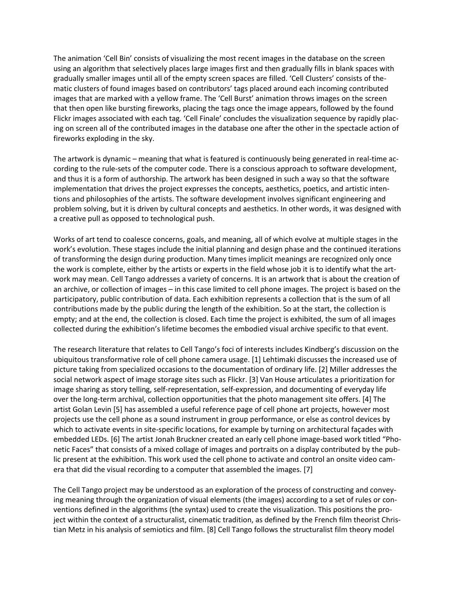The animation 'Cell Bin' consists of visualizing the most recent images in the database on the screen using an algorithm that selectively places large images first and then gradually fills in blank spaces with gradually smaller images until all of the empty screen spaces are filled. 'Cell Clusters' consists of thematic clusters of found images based on contributors' tags placed around each incoming contributed images that are marked with a yellow frame. The 'Cell Burst' animation throws images on the screen that then open like bursting fireworks, placing the tags once the image appears, followed by the found Flickr images associated with each tag. 'Cell Finale' concludes the visualization sequence by rapidly placing on screen all of the contributed images in the database one after the other in the spectacle action of fireworks exploding in the sky.

The artwork is dynamic – meaning that what is featured is continuously being generated in real-time according to the rule-sets of the computer code. There is a conscious approach to software development, and thus it is a form of authorship. The artwork has been designed in such a way so that the software implementation that drives the project expresses the concepts, aesthetics, poetics, and artistic intentions and philosophies of the artists. The software development involves significant engineering and problem solving, but it is driven by cultural concepts and aesthetics. In other words, it was designed with a creative pull as opposed to technological push.

Works of art tend to coalesce concerns, goals, and meaning, all of which evolve at multiple stages in the work's evolution. These stages include the initial planning and design phase and the continued iterations of transforming the design during production. Many times implicit meanings are recognized only once the work is complete, either by the artists or experts in the field whose job it is to identify what the artwork may mean. Cell Tango addresses a variety of concerns. It is an artwork that is about the creation of an archive, or collection of images – in this case limited to cell phone images. The project is based on the participatory, public contribution of data. Each exhibition represents a collection that is the sum of all contributions made by the public during the length of the exhibition. So at the start, the collection is empty; and at the end, the collection is closed. Each time the project is exhibited, the sum of all images collected during the exhibition's lifetime becomes the embodied visual archive specific to that event.

The research literature that relates to Cell Tango's foci of interests includes Kindberg's discussion on the ubiquitous transformative role of cell phone camera usage. [1] Lehtimaki discusses the increased use of picture taking from specialized occasions to the documentation of ordinary life. [2] Miller addresses the social network aspect of image storage sites such as Flickr. [3] Van House articulates a prioritization for image sharing as story telling, self-representation, self-expression, and documenting of everyday life over the long-term archival, collection opportunities that the photo management site offers. [4] The artist Golan Levin [5] has assembled a useful reference page of cell phone art projects, however most projects use the cell phone as a sound instrument in group performance, or else as control devices by which to activate events in site-specific locations, for example by turning on architectural façades with embedded LEDs. [6] The artist Jonah Bruckner created an early cell phone image-based work titled "Phonetic Faces" that consists of a mixed collage of images and portraits on a display contributed by the public present at the exhibition. This work used the cell phone to activate and control an onsite video camera that did the visual recording to a computer that assembled the images. [7]

The Cell Tango project may be understood as an exploration of the process of constructing and conveying meaning through the organization of visual elements (the images) according to a set of rules or conventions defined in the algorithms (the syntax) used to create the visualization. This positions the project within the context of a structuralist, cinematic tradition, as defined by the French film theorist Christian Metz in his analysis of semiotics and film. [8] Cell Tango follows the structuralist film theory model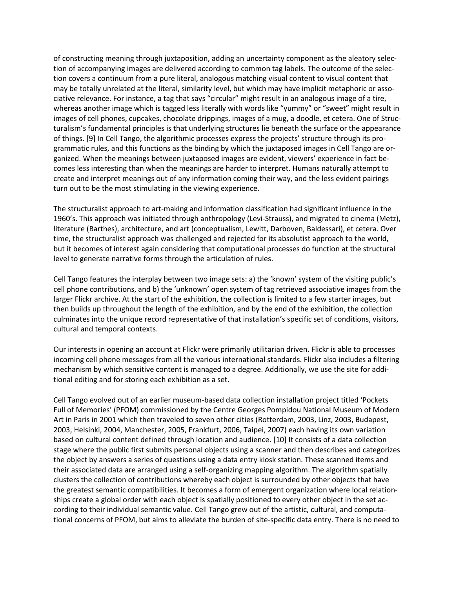of constructing meaning through juxtaposition, adding an uncertainty component as the aleatory selection of accompanying images are delivered according to common tag labels. The outcome of the selection covers a continuum from a pure literal, analogous matching visual content to visual content that may be totally unrelated at the literal, similarity level, but which may have implicit metaphoric or associative relevance. For instance, a tag that says "circular" might result in an analogous image of a tire, whereas another image which is tagged less literally with words like "yummy" or "sweet" might result in images of cell phones, cupcakes, chocolate drippings, images of a mug, a doodle, et cetera. One of Structuralism's fundamental principles is that underlying structures lie beneath the surface or the appearance of things. [9] In Cell Tango, the algorithmic processes express the projects' structure through its programmatic rules, and this functions as the binding by which the juxtaposed images in Cell Tango are organized. When the meanings between juxtaposed images are evident, viewers' experience in fact becomes less interesting than when the meanings are harder to interpret. Humans naturally attempt to create and interpret meanings out of any information coming their way, and the less evident pairings turn out to be the most stimulating in the viewing experience.

The structuralist approach to art-making and information classification had significant influence in the 1960's. This approach was initiated through anthropology (Levi-Strauss), and migrated to cinema (Metz), literature (Barthes), architecture, and art (conceptualism, Lewitt, Darboven, Baldessari), et cetera. Over time, the structuralist approach was challenged and rejected for its absolutist approach to the world, but it becomes of interest again considering that computational processes do function at the structural level to generate narrative forms through the articulation of rules.

Cell Tango features the interplay between two image sets: a) the 'known' system of the visiting public's cell phone contributions, and b) the 'unknown' open system of tag retrieved associative images from the larger Flickr archive. At the start of the exhibition, the collection is limited to a few starter images, but then builds up throughout the length of the exhibition, and by the end of the exhibition, the collection culminates into the unique record representative of that installation's specific set of conditions, visitors, cultural and temporal contexts.

Our interests in opening an account at Flickr were primarily utilitarian driven. Flickr is able to processes incoming cell phone messages from all the various international standards. Flickr also includes a filtering mechanism by which sensitive content is managed to a degree. Additionally, we use the site for additional editing and for storing each exhibition as a set.

Cell Tango evolved out of an earlier museum-based data collection installation project titled 'Pockets Full of Memories' (PFOM) commissioned by the Centre Georges Pompidou National Museum of Modern Art in Paris in 2001 which then traveled to seven other cities (Rotterdam, 2003, Linz, 2003, Budapest, 2003, Helsinki, 2004, Manchester, 2005, Frankfurt, 2006, Taipei, 2007) each having its own variation based on cultural content defined through location and audience. [10] It consists of a data collection stage where the public first submits personal objects using a scanner and then describes and categorizes the object by answers a series of questions using a data entry kiosk station. These scanned items and their associated data are arranged using a self-organizing mapping algorithm. The algorithm spatially clusters the collection of contributions whereby each object is surrounded by other objects that have the greatest semantic compatibilities. It becomes a form of emergent organization where local relationships create a global order with each object is spatially positioned to every other object in the set according to their individual semantic value. Cell Tango grew out of the artistic, cultural, and computational concerns of PFOM, but aims to alleviate the burden of site-specific data entry. There is no need to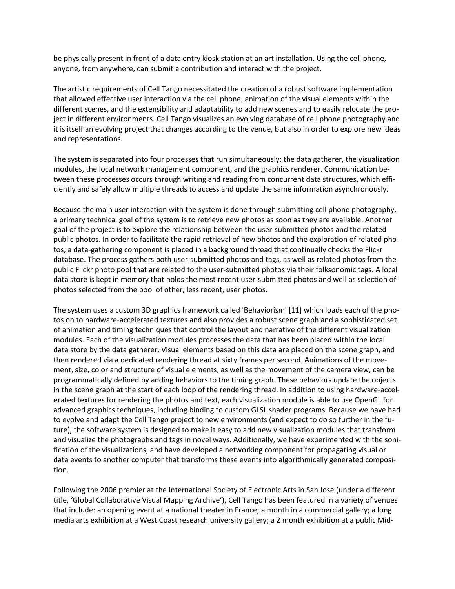be physically present in front of a data entry kiosk station at an art installation. Using the cell phone, anyone, from anywhere, can submit a contribution and interact with the project.

The artistic requirements of Cell Tango necessitated the creation of a robust software implementation that allowed effective user interaction via the cell phone, animation of the visual elements within the different scenes, and the extensibility and adaptability to add new scenes and to easily relocate the project in different environments. Cell Tango visualizes an evolving database of cell phone photography and it is itself an evolving project that changes according to the venue, but also in order to explore new ideas and representations.

The system is separated into four processes that run simultaneously: the data gatherer, the visualization modules, the local network management component, and the graphics renderer. Communication between these processes occurs through writing and reading from concurrent data structures, which efficiently and safely allow multiple threads to access and update the same information asynchronously.

Because the main user interaction with the system is done through submitting cell phone photography, a primary technical goal of the system is to retrieve new photos as soon as they are available. Another goal of the project is to explore the relationship between the user-submitted photos and the related public photos. In order to facilitate the rapid retrieval of new photos and the exploration of related photos, a data-gathering component is placed in a background thread that continually checks the Flickr database. The process gathers both user-submitted photos and tags, as well as related photos from the public Flickr photo pool that are related to the user-submitted photos via their folksonomic tags. A local data store is kept in memory that holds the most recent user-submitted photos and well as selection of photos selected from the pool of other, less recent, user photos.

The system uses a custom 3D graphics framework called 'Behaviorism' [11] which loads each of the photos on to hardware-accelerated textures and also provides a robust scene graph and a sophisticated set of animation and timing techniques that control the layout and narrative of the different visualization modules. Each of the visualization modules processes the data that has been placed within the local data store by the data gatherer. Visual elements based on this data are placed on the scene graph, and then rendered via a dedicated rendering thread at sixty frames per second. Animations of the movement, size, color and structure of visual elements, as well as the movement of the camera view, can be programmatically defined by adding behaviors to the timing graph. These behaviors update the objects in the scene graph at the start of each loop of the rendering thread. In addition to using hardware-accelerated textures for rendering the photos and text, each visualization module is able to use OpenGL for advanced graphics techniques, including binding to custom GLSL shader programs. Because we have had to evolve and adapt the Cell Tango project to new environments (and expect to do so further in the future), the software system is designed to make it easy to add new visualization modules that transform and visualize the photographs and tags in novel ways. Additionally, we have experimented with the sonification of the visualizations, and have developed a networking component for propagating visual or data events to another computer that transforms these events into algorithmically generated composition.

Following the 2006 premier at the International Society of Electronic Arts in San Jose (under a different title, 'Global Collaborative Visual Mapping Archive'), Cell Tango has been featured in a variety of venues that include: an opening event at a national theater in France; a month in a commercial gallery; a long media arts exhibition at a West Coast research university gallery; a 2 month exhibition at a public Mid